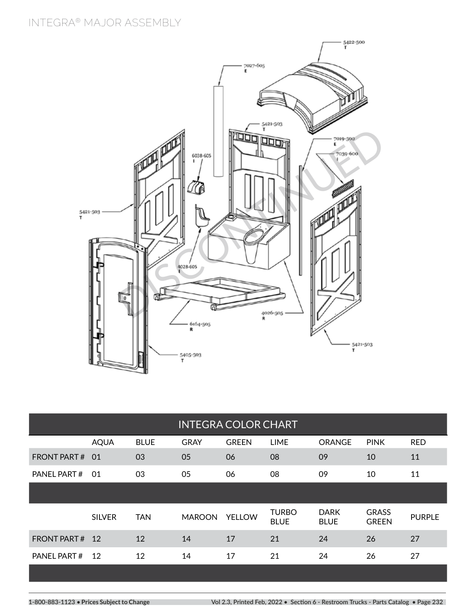# **INTEGRA® MAJOR ASSEMBLY**



| <b>INTEGRA COLOR CHART</b> |               |             |               |               |                             |                            |                              |               |  |  |
|----------------------------|---------------|-------------|---------------|---------------|-----------------------------|----------------------------|------------------------------|---------------|--|--|
|                            | <b>AQUA</b>   | <b>BLUE</b> | <b>GRAY</b>   | <b>GREEN</b>  | <b>LIME</b>                 | <b>ORANGE</b>              | <b>PINK</b>                  | <b>RED</b>    |  |  |
| <b>FRONT PART#</b>         | .O1           | 03          | 05            | 06            | 08                          | 09                         | 10                           | 11            |  |  |
| PANEL PART#                | 01            | 03          | 05            | 06            | 08                          | 09                         | 10                           | 11            |  |  |
|                            |               |             |               |               |                             |                            |                              |               |  |  |
|                            | <b>SILVER</b> | <b>TAN</b>  | <b>MAROON</b> | <b>YELLOW</b> | <b>TURBO</b><br><b>BLUE</b> | <b>DARK</b><br><b>BLUE</b> | <b>GRASS</b><br><b>GREEN</b> | <b>PURPLE</b> |  |  |
| <b>FRONT PART#</b>         | <sup>12</sup> | 12          | 14            | 17            | 21                          | 24                         | 26                           | 27            |  |  |
| PANEL PART#                | 12            | 12          | 14            | 17            | 21                          | 24                         | 26                           | 27            |  |  |
|                            |               |             |               |               |                             |                            |                              |               |  |  |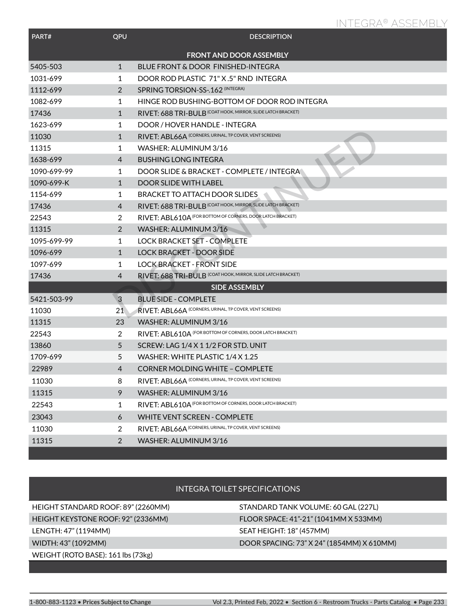# **INTEGRA® ASSEMBLY**

| PART#                          | QPU            | <b>DESCRIPTION</b>                                           |  |  |  |  |  |
|--------------------------------|----------------|--------------------------------------------------------------|--|--|--|--|--|
| <b>FRONT AND DOOR ASSEMBLY</b> |                |                                                              |  |  |  |  |  |
| 5405-503                       | $\mathbf{1}$   | BLUE FRONT & DOOR FINISHED-INTEGRA                           |  |  |  |  |  |
| 1031-699                       | 1              | DOOR ROD PLASTIC 71" X.5" RND INTEGRA                        |  |  |  |  |  |
| 1112-699                       | $\overline{2}$ | SPRING TORSION-SS-.162 (INTEGRA)                             |  |  |  |  |  |
| 1082-699                       | 1              | HINGE ROD BUSHING-BOTTOM OF DOOR ROD INTEGRA                 |  |  |  |  |  |
| 17436                          | $\mathbf{1}$   | RIVET: 688 TRI-BULB (COAT HOOK, MIRROR, SLIDE LATCH BRACKET) |  |  |  |  |  |
| 1623-699                       | 1              | DOOR / HOVER HANDLE - INTEGRA                                |  |  |  |  |  |
| 11030                          | $\mathbf{1}$   | RIVET: ABL66A (CORNERS, URINAL, TP COVER, VENT SCREENS)      |  |  |  |  |  |
| 11315                          | 1              | WASHER: ALUMINUM 3/16                                        |  |  |  |  |  |
| 1638-699                       | 4              | <b>BUSHING LONG INTEGRA</b>                                  |  |  |  |  |  |
| 1090-699-99                    | 1              | DOOR SLIDE & BRACKET - COMPLETE / INTEGRA                    |  |  |  |  |  |
| 1090-699-K                     | $\mathbf{1}$   | <b>DOOR SLIDE WITH LABEL</b>                                 |  |  |  |  |  |
| 1154-699                       | 1              | <b>BRACKET TO ATTACH DOOR SLIDES</b>                         |  |  |  |  |  |
| 17436                          | $\overline{4}$ | RIVET: 688 TRI-BULB (COAT HOOK, MIRROR, SLIDE LATCH BRACKET) |  |  |  |  |  |
| 22543                          | $\overline{2}$ | RIVET: ABL610A (FOR BOTTOM OF CORNERS, DOOR LATCH BRACKET)   |  |  |  |  |  |
| 11315                          | $\overline{2}$ | WASHER: ALUMINUM 3/16                                        |  |  |  |  |  |
| 1095-699-99                    | 1              | <b>LOCK BRACKET SET - COMPLETE</b>                           |  |  |  |  |  |
| 1096-699                       | $\mathbf{1}$   | <b>LOCK BRACKET - DOOR SIDE</b>                              |  |  |  |  |  |
| 1097-699                       | 1              | <b>LOCK BRACKET - FRONT SIDE</b>                             |  |  |  |  |  |
| 17436                          | $\overline{4}$ | RIVET: 688 TRI-BULB (COAT HOOK, MIRROR, SLIDE LATCH BRACKET) |  |  |  |  |  |
|                                |                | <b>SIDE ASSEMBLY</b>                                         |  |  |  |  |  |
| 5421-503-99                    | $\overline{3}$ | <b>BLUE SIDE - COMPLETE</b>                                  |  |  |  |  |  |
| 11030                          | 21             | RIVET: ABL66A (CORNERS, URINAL, TP COVER, VENT SCREENS)      |  |  |  |  |  |
| 11315                          | 23             | WASHER: ALUMINUM 3/16                                        |  |  |  |  |  |
| 22543                          | $\overline{2}$ | RIVET: ABL610A (FOR BOTTOM OF CORNERS, DOOR LATCH BRACKET)   |  |  |  |  |  |
| 13860                          | 5              | SCREW: LAG 1/4 X 1 1/2 FOR STD. UNIT                         |  |  |  |  |  |
| 1709-699                       | 5              | WASHER: WHITE PLASTIC 1/4 X 1.25                             |  |  |  |  |  |
| 22989                          | 4              | <b>CORNER MOLDING WHITE - COMPLETE</b>                       |  |  |  |  |  |
| 11030                          | 8              | RIVET: ABL66A (CORNERS, URINAL, TP COVER, VENT SCREENS)      |  |  |  |  |  |
| 11315                          | 9              | WASHER: ALUMINUM 3/16                                        |  |  |  |  |  |
| 22543                          | 1              | RIVET: ABL610A (FOR BOTTOM OF CORNERS, DOOR LATCH BRACKET)   |  |  |  |  |  |
| 23043                          | 6              | <b>WHITE VENT SCREEN - COMPLETE</b>                          |  |  |  |  |  |
| 11030                          | $\overline{2}$ | RIVET: ABL66A (CORNERS, URINAL, TP COVER, VENT SCREENS)      |  |  |  |  |  |
| 11315                          | $\overline{2}$ | WASHER: ALUMINUM 3/16                                        |  |  |  |  |  |

### INTEGRA TOILET SPECIFICATIONS

HEIGHT STANDARD ROOF: 89" (2260MM) STANDARD TANK VOLUME: 60 GAL (227L) HEIGHT KEYSTONE ROOF: 92" (2336MM) FLOOR SPACE: 41"-21" (1041MM X 533MM) LENGTH: 47" (1194MM) SEAT HEIGHT: 18" (457MM) WEIGHT (ROTO BASE): 161 lbs (73kg)

### WIDTH: 43" (1092MM) DOOR SPACING: 73" X 24" (1854MM) X 610MM)